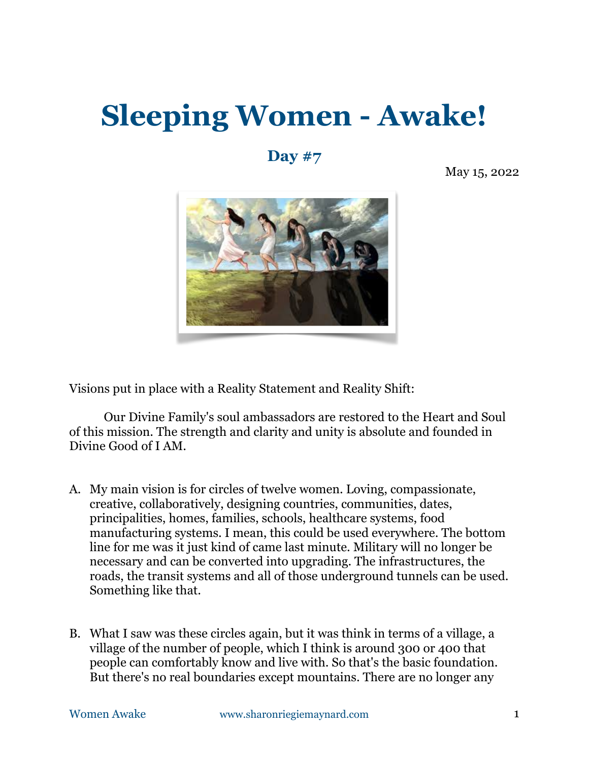## **Sleeping Women - Awake!**

## **Day #7**

May 15, 2022



Visions put in place with a Reality Statement and Reality Shift:

Our Divine Family's soul ambassadors are restored to the Heart and Soul of this mission. The strength and clarity and unity is absolute and founded in Divine Good of I AM.

- A. My main vision is for circles of twelve women. Loving, compassionate, creative, collaboratively, designing countries, communities, dates, principalities, homes, families, schools, healthcare systems, food manufacturing systems. I mean, this could be used everywhere. The bottom line for me was it just kind of came last minute. Military will no longer be necessary and can be converted into upgrading. The infrastructures, the roads, the transit systems and all of those underground tunnels can be used. Something like that.
- B. What I saw was these circles again, but it was think in terms of a village, a village of the number of people, which I think is around 300 or 400 that people can comfortably know and live with. So that's the basic foundation. But there's no real boundaries except mountains. There are no longer any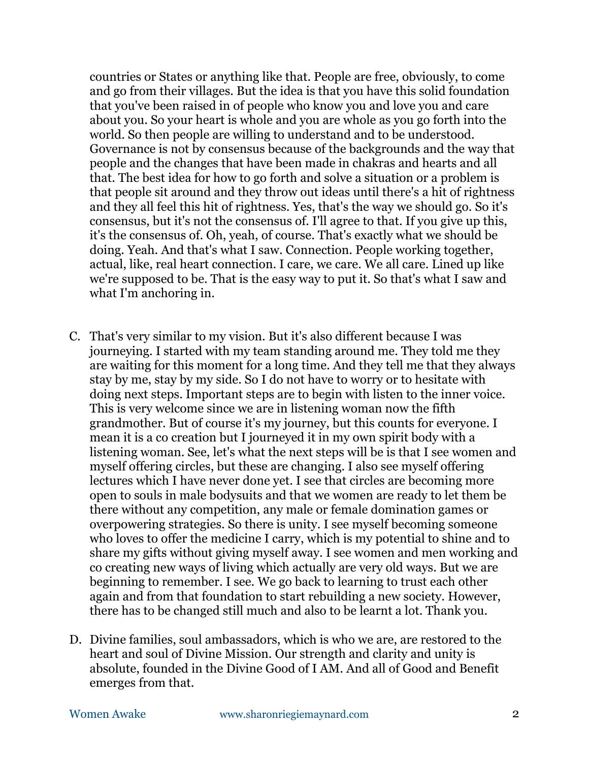countries or States or anything like that. People are free, obviously, to come and go from their villages. But the idea is that you have this solid foundation that you've been raised in of people who know you and love you and care about you. So your heart is whole and you are whole as you go forth into the world. So then people are willing to understand and to be understood. Governance is not by consensus because of the backgrounds and the way that people and the changes that have been made in chakras and hearts and all that. The best idea for how to go forth and solve a situation or a problem is that people sit around and they throw out ideas until there's a hit of rightness and they all feel this hit of rightness. Yes, that's the way we should go. So it's consensus, but it's not the consensus of. I'll agree to that. If you give up this, it's the consensus of. Oh, yeah, of course. That's exactly what we should be doing. Yeah. And that's what I saw. Connection. People working together, actual, like, real heart connection. I care, we care. We all care. Lined up like we're supposed to be. That is the easy way to put it. So that's what I saw and what I'm anchoring in.

- C. That's very similar to my vision. But it's also different because I was journeying. I started with my team standing around me. They told me they are waiting for this moment for a long time. And they tell me that they always stay by me, stay by my side. So I do not have to worry or to hesitate with doing next steps. Important steps are to begin with listen to the inner voice. This is very welcome since we are in listening woman now the fifth grandmother. But of course it's my journey, but this counts for everyone. I mean it is a co creation but I journeyed it in my own spirit body with a listening woman. See, let's what the next steps will be is that I see women and myself offering circles, but these are changing. I also see myself offering lectures which I have never done yet. I see that circles are becoming more open to souls in male bodysuits and that we women are ready to let them be there without any competition, any male or female domination games or overpowering strategies. So there is unity. I see myself becoming someone who loves to offer the medicine I carry, which is my potential to shine and to share my gifts without giving myself away. I see women and men working and co creating new ways of living which actually are very old ways. But we are beginning to remember. I see. We go back to learning to trust each other again and from that foundation to start rebuilding a new society. However, there has to be changed still much and also to be learnt a lot. Thank you.
- D. Divine families, soul ambassadors, which is who we are, are restored to the heart and soul of Divine Mission. Our strength and clarity and unity is absolute, founded in the Divine Good of I AM. And all of Good and Benefit emerges from that.